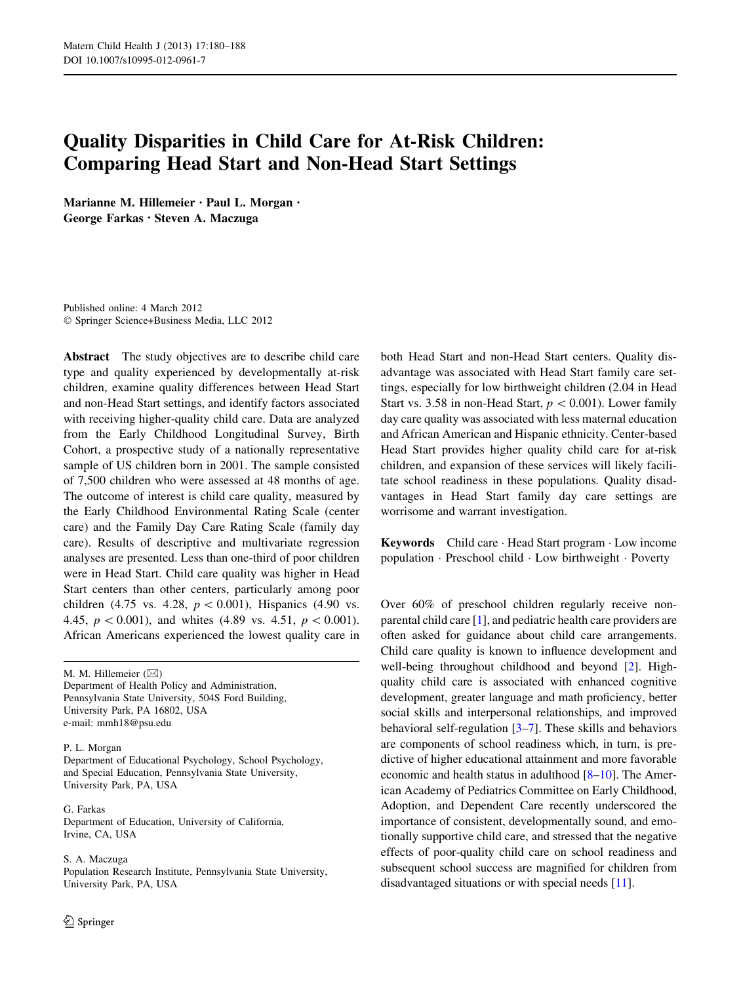# Quality Disparities in Child Care for At-Risk Children: Comparing Head Start and Non-Head Start Settings

Marianne M. Hillemeier • Paul L. Morgan • George Farkas • Steven A. Maczuga

Published online: 4 March 2012 - Springer Science+Business Media, LLC 2012

Abstract The study objectives are to describe child care type and quality experienced by developmentally at-risk children, examine quality differences between Head Start and non-Head Start settings, and identify factors associated with receiving higher-quality child care. Data are analyzed from the Early Childhood Longitudinal Survey, Birth Cohort, a prospective study of a nationally representative sample of US children born in 2001. The sample consisted of 7,500 children who were assessed at 48 months of age. The outcome of interest is child care quality, measured by the Early Childhood Environmental Rating Scale (center care) and the Family Day Care Rating Scale (family day care). Results of descriptive and multivariate regression analyses are presented. Less than one-third of poor children were in Head Start. Child care quality was higher in Head Start centers than other centers, particularly among poor children (4.75 vs. 4.28,  $p < 0.001$ ), Hispanics (4.90 vs. 4.45,  $p \lt 0.001$ , and whites (4.89 vs. 4.51,  $p \lt 0.001$ ). African Americans experienced the lowest quality care in

M. M. Hillemeier  $(\boxtimes)$ 

Department of Health Policy and Administration, Pennsylvania State University, 504S Ford Building, University Park, PA 16802, USA e-mail: mmh18@psu.edu

## P. L. Morgan

Department of Educational Psychology, School Psychology, and Special Education, Pennsylvania State University, University Park, PA, USA

G. Farkas Department of Education, University of California, Irvine, CA, USA

S. A. Maczuga Population Research Institute, Pennsylvania State University, University Park, PA, USA

both Head Start and non-Head Start centers. Quality disadvantage was associated with Head Start family care settings, especially for low birthweight children (2.04 in Head Start vs. 3.58 in non-Head Start,  $p < 0.001$ ). Lower family day care quality was associated with less maternal education and African American and Hispanic ethnicity. Center-based Head Start provides higher quality child care for at-risk children, and expansion of these services will likely facilitate school readiness in these populations. Quality disadvantages in Head Start family day care settings are worrisome and warrant investigation.

Keywords Child care - Head Start program - Low income population - Preschool child - Low birthweight - Poverty

Over 60% of preschool children regularly receive nonparental child care [\[1](#page-7-0)], and pediatric health care providers are often asked for guidance about child care arrangements. Child care quality is known to influence development and well-being throughout childhood and beyond [\[2](#page-7-0)]. Highquality child care is associated with enhanced cognitive development, greater language and math proficiency, better social skills and interpersonal relationships, and improved behavioral self-regulation [[3–7\]](#page-7-0). These skills and behaviors are components of school readiness which, in turn, is predictive of higher educational attainment and more favorable economic and health status in adulthood [\[8–10\]](#page-7-0). The American Academy of Pediatrics Committee on Early Childhood, Adoption, and Dependent Care recently underscored the importance of consistent, developmentally sound, and emotionally supportive child care, and stressed that the negative effects of poor-quality child care on school readiness and subsequent school success are magnified for children from disadvantaged situations or with special needs [[11\]](#page-7-0).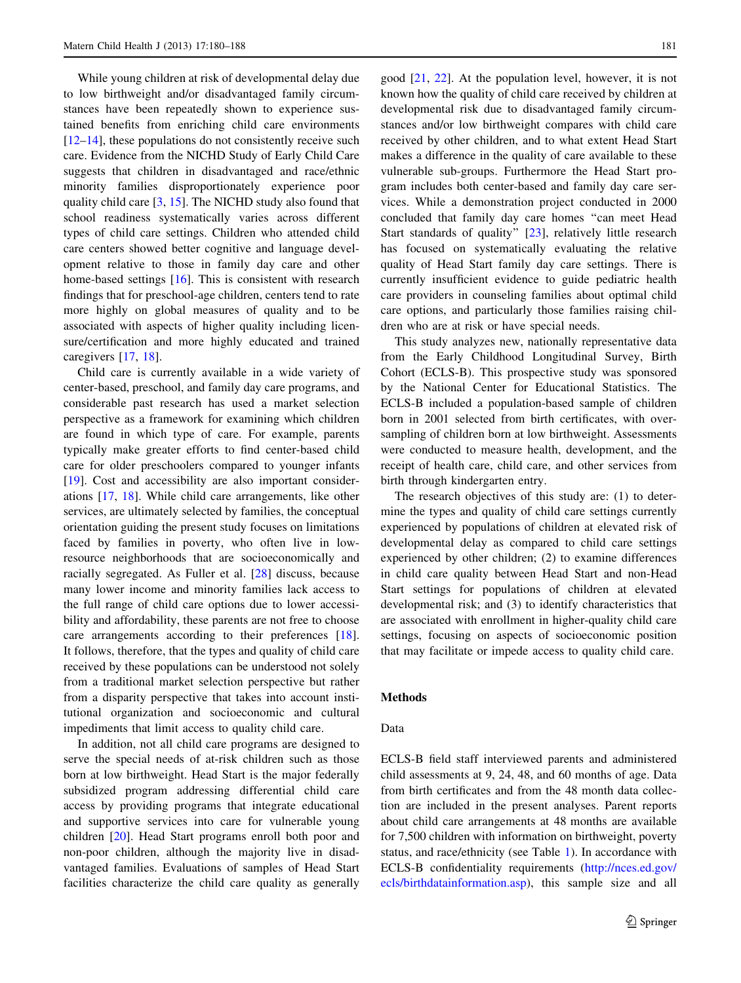While young children at risk of developmental delay due to low birthweight and/or disadvantaged family circumstances have been repeatedly shown to experience sustained benefits from enriching child care environments  $[12–14]$  $[12–14]$ , these populations do not consistently receive such care. Evidence from the NICHD Study of Early Child Care suggests that children in disadvantaged and race/ethnic minority families disproportionately experience poor quality child care [\[3](#page-7-0), [15\]](#page-7-0). The NICHD study also found that school readiness systematically varies across different types of child care settings. Children who attended child care centers showed better cognitive and language development relative to those in family day care and other home-based settings [\[16](#page-7-0)]. This is consistent with research findings that for preschool-age children, centers tend to rate more highly on global measures of quality and to be associated with aspects of higher quality including licensure/certification and more highly educated and trained caregivers [[17,](#page-7-0) [18\]](#page-7-0).

Child care is currently available in a wide variety of center-based, preschool, and family day care programs, and considerable past research has used a market selection perspective as a framework for examining which children are found in which type of care. For example, parents typically make greater efforts to find center-based child care for older preschoolers compared to younger infants [\[19](#page-7-0)]. Cost and accessibility are also important considerations [[17,](#page-7-0) [18\]](#page-7-0). While child care arrangements, like other services, are ultimately selected by families, the conceptual orientation guiding the present study focuses on limitations faced by families in poverty, who often live in lowresource neighborhoods that are socioeconomically and racially segregated. As Fuller et al. [\[28](#page-7-0)] discuss, because many lower income and minority families lack access to the full range of child care options due to lower accessibility and affordability, these parents are not free to choose care arrangements according to their preferences [\[18](#page-7-0)]. It follows, therefore, that the types and quality of child care received by these populations can be understood not solely from a traditional market selection perspective but rather from a disparity perspective that takes into account institutional organization and socioeconomic and cultural impediments that limit access to quality child care.

In addition, not all child care programs are designed to serve the special needs of at-risk children such as those born at low birthweight. Head Start is the major federally subsidized program addressing differential child care access by providing programs that integrate educational and supportive services into care for vulnerable young children [[20](#page-7-0)]. Head Start programs enroll both poor and non-poor children, although the majority live in disadvantaged families. Evaluations of samples of Head Start facilities characterize the child care quality as generally good [\[21](#page-7-0), [22](#page-7-0)]. At the population level, however, it is not known how the quality of child care received by children at developmental risk due to disadvantaged family circumstances and/or low birthweight compares with child care received by other children, and to what extent Head Start makes a difference in the quality of care available to these vulnerable sub-groups. Furthermore the Head Start program includes both center-based and family day care services. While a demonstration project conducted in 2000 concluded that family day care homes ''can meet Head Start standards of quality'' [\[23](#page-7-0)], relatively little research has focused on systematically evaluating the relative quality of Head Start family day care settings. There is currently insufficient evidence to guide pediatric health care providers in counseling families about optimal child care options, and particularly those families raising children who are at risk or have special needs.

This study analyzes new, nationally representative data from the Early Childhood Longitudinal Survey, Birth Cohort (ECLS-B). This prospective study was sponsored by the National Center for Educational Statistics. The ECLS-B included a population-based sample of children born in 2001 selected from birth certificates, with oversampling of children born at low birthweight. Assessments were conducted to measure health, development, and the receipt of health care, child care, and other services from birth through kindergarten entry.

The research objectives of this study are: (1) to determine the types and quality of child care settings currently experienced by populations of children at elevated risk of developmental delay as compared to child care settings experienced by other children; (2) to examine differences in child care quality between Head Start and non-Head Start settings for populations of children at elevated developmental risk; and (3) to identify characteristics that are associated with enrollment in higher-quality child care settings, focusing on aspects of socioeconomic position that may facilitate or impede access to quality child care.

## Methods

## Data

ECLS-B field staff interviewed parents and administered child assessments at 9, 24, 48, and 60 months of age. Data from birth certificates and from the 48 month data collection are included in the present analyses. Parent reports about child care arrangements at 48 months are available for 7,500 children with information on birthweight, poverty status, and race/ethnicity (see Table [1\)](#page-2-0). In accordance with ECLS-B confidentiality requirements [\(http://nces.ed.gov/](http://nces.ed.gov/ecls/birthdatainformation.asp) [ecls/birthdatainformation.asp](http://nces.ed.gov/ecls/birthdatainformation.asp)), this sample size and all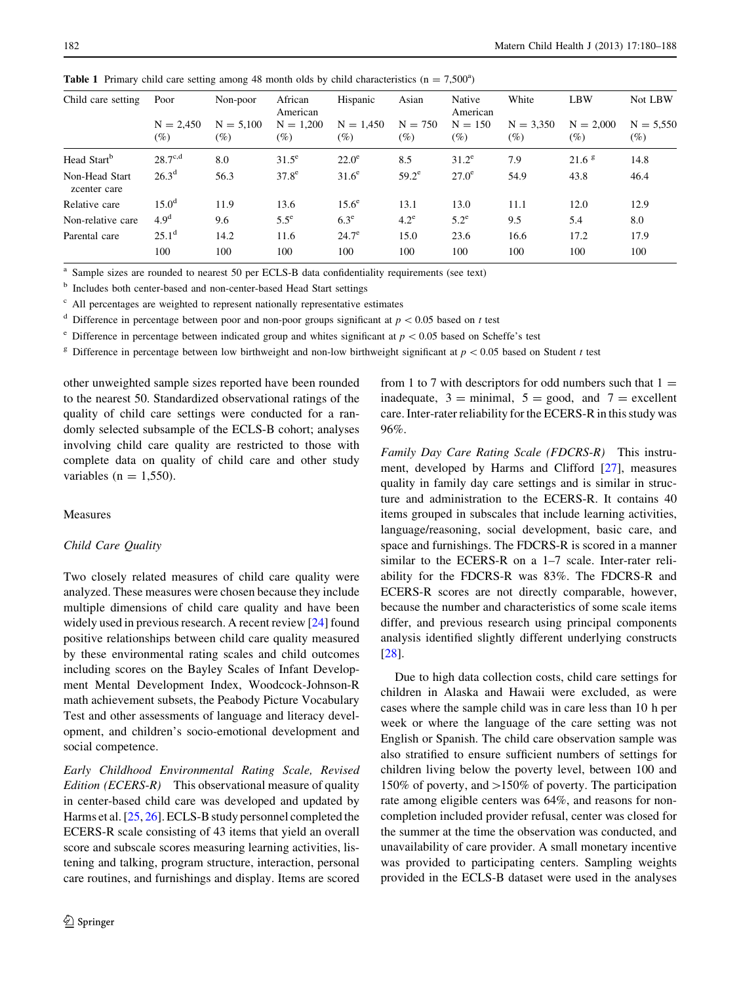| Child care setting             | Poor                  | Non-poor           | African<br>American   | Hispanic              | Asian               | Native<br>American | White              | <b>LBW</b>         | Not LBW               |
|--------------------------------|-----------------------|--------------------|-----------------------|-----------------------|---------------------|--------------------|--------------------|--------------------|-----------------------|
|                                | $N = 2.450$<br>$(\%)$ | $N = 5.100$<br>(%) | $N = 1.200$<br>$(\%)$ | $N = 1.450$<br>$(\%)$ | $N = 750$<br>$(\%)$ | $N = 150$<br>(%)   | $N = 3.350$<br>(%) | $N = 2,000$<br>(%) | $N = 5.550$<br>$(\%)$ |
| Head Start <sup>b</sup>        | $28.7^{\rm c,d}$      | 8.0                | $31.5^{\circ}$        | $22.0^\circ$          | 8.5                 | $31.2^e$           | 7.9                | $21.6$ $\rm{g}$    | 14.8                  |
| Non-Head Start<br>zcenter care | $26.3^{\rm d}$        | 56.3               | $37.8^{\circ}$        | $31.6^{\circ}$        | $59.2^{\circ}$      | $27.0^{\circ}$     | 54.9               | 43.8               | 46.4                  |
| Relative care                  | 15.0 <sup>d</sup>     | 11.9               | 13.6                  | $15.6^e$              | 13.1                | 13.0               | 11.1               | 12.0               | 12.9                  |
| Non-relative care              | 4.9 <sup>d</sup>      | 9.6                | $5.5^{\circ}$         | $6.3^e$               | $4.2^e$             | $5.2^{\circ}$      | 9.5                | 5.4                | 8.0                   |
| Parental care                  | $25.1^{\rm d}$        | 14.2               | 11.6                  | $24.7^{\circ}$        | 15.0                | 23.6               | 16.6               | 17.2               | 17.9                  |
|                                | 100                   | 100                | 100                   | 100                   | 100                 | 100                | 100                | 100                | 100                   |

<span id="page-2-0"></span>Table 1 Primary child care setting among 48 month olds by child characteristics  $(n = 7,500^a)$ 

Sample sizes are rounded to nearest 50 per ECLS-B data confidentiality requirements (see text)

**b** Includes both center-based and non-center-based Head Start settings

<sup>c</sup> All percentages are weighted to represent nationally representative estimates

<sup>d</sup> Difference in percentage between poor and non-poor groups significant at  $p < 0.05$  based on t test

<sup>e</sup> Difference in percentage between indicated group and whites significant at  $p < 0.05$  based on Scheffe's test

<sup>g</sup> Difference in percentage between low birthweight and non-low birthweight significant at  $p < 0.05$  based on Student t test

other unweighted sample sizes reported have been rounded to the nearest 50. Standardized observational ratings of the quality of child care settings were conducted for a randomly selected subsample of the ECLS-B cohort; analyses involving child care quality are restricted to those with complete data on quality of child care and other study variables ( $n = 1,550$ ).

## Measures

#### Child Care Quality

Two closely related measures of child care quality were analyzed. These measures were chosen because they include multiple dimensions of child care quality and have been widely used in previous research. A recent review [[24\]](#page-7-0) found positive relationships between child care quality measured by these environmental rating scales and child outcomes including scores on the Bayley Scales of Infant Development Mental Development Index, Woodcock-Johnson-R math achievement subsets, the Peabody Picture Vocabulary Test and other assessments of language and literacy development, and children's socio-emotional development and social competence.

Early Childhood Environmental Rating Scale, Revised Edition (ECERS-R) This observational measure of quality in center-based child care was developed and updated by Harms et al. [[25,](#page-7-0) [26\]](#page-7-0). ECLS-B study personnel completed the ECERS-R scale consisting of 43 items that yield an overall score and subscale scores measuring learning activities, listening and talking, program structure, interaction, personal care routines, and furnishings and display. Items are scored from 1 to 7 with descriptors for odd numbers such that  $1 =$ inadequate,  $3 = \text{minimal}$ ,  $5 = \text{good}$ , and  $7 = \text{excellent}$ care. Inter-rater reliability for the ECERS-R in this study was 96%.

Family Day Care Rating Scale (FDCRS-R) This instrument, developed by Harms and Clifford [\[27](#page-7-0)], measures quality in family day care settings and is similar in structure and administration to the ECERS-R. It contains 40 items grouped in subscales that include learning activities, language/reasoning, social development, basic care, and space and furnishings. The FDCRS-R is scored in a manner similar to the ECERS-R on a 1–7 scale. Inter-rater reliability for the FDCRS-R was 83%. The FDCRS-R and ECERS-R scores are not directly comparable, however, because the number and characteristics of some scale items differ, and previous research using principal components analysis identified slightly different underlying constructs [\[28](#page-7-0)].

Due to high data collection costs, child care settings for children in Alaska and Hawaii were excluded, as were cases where the sample child was in care less than 10 h per week or where the language of the care setting was not English or Spanish. The child care observation sample was also stratified to ensure sufficient numbers of settings for children living below the poverty level, between 100 and 150% of poverty, and  $>150\%$  of poverty. The participation rate among eligible centers was 64%, and reasons for noncompletion included provider refusal, center was closed for the summer at the time the observation was conducted, and unavailability of care provider. A small monetary incentive was provided to participating centers. Sampling weights provided in the ECLS-B dataset were used in the analyses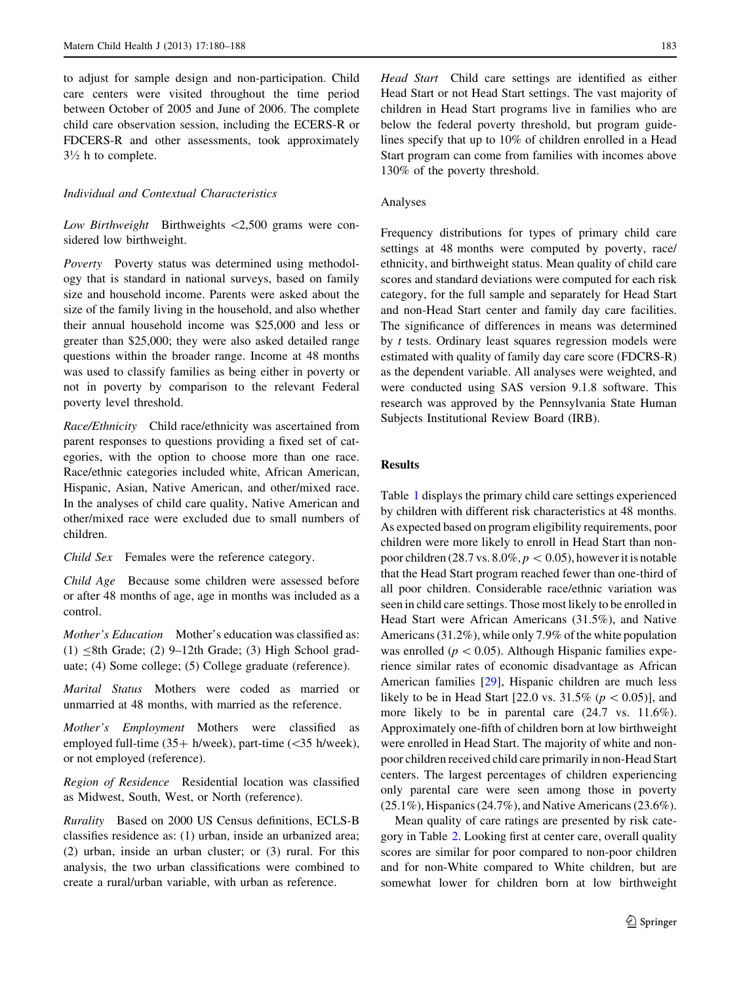to adjust for sample design and non-participation. Child care centers were visited throughout the time period between October of 2005 and June of 2006. The complete child care observation session, including the ECERS-R or FDCERS-R and other assessments, took approximately  $3\frac{1}{2}$  h to complete.

## Individual and Contextual Characteristics

Low Birthweight Birthweights  $\langle 2,500 \rangle$  grams were considered low birthweight.

Poverty Poverty status was determined using methodology that is standard in national surveys, based on family size and household income. Parents were asked about the size of the family living in the household, and also whether their annual household income was \$25,000 and less or greater than \$25,000; they were also asked detailed range questions within the broader range. Income at 48 months was used to classify families as being either in poverty or not in poverty by comparison to the relevant Federal poverty level threshold.

Race/Ethnicity Child race/ethnicity was ascertained from parent responses to questions providing a fixed set of categories, with the option to choose more than one race. Race/ethnic categories included white, African American, Hispanic, Asian, Native American, and other/mixed race. In the analyses of child care quality, Native American and other/mixed race were excluded due to small numbers of children.

Child Sex Females were the reference category.

Child Age Because some children were assessed before or after 48 months of age, age in months was included as a control.

Mother's Education Mother's education was classified as: (1)  $\leq$ 8th Grade; (2) 9–12th Grade; (3) High School graduate; (4) Some college; (5) College graduate (reference).

Marital Status Mothers were coded as married or unmarried at 48 months, with married as the reference.

Mother's Employment Mothers were classified as employed full-time (35+ h/week), part-time ( $\langle$ 35 h/week), or not employed (reference).

Region of Residence Residential location was classified as Midwest, South, West, or North (reference).

Rurality Based on 2000 US Census definitions, ECLS-B classifies residence as: (1) urban, inside an urbanized area; (2) urban, inside an urban cluster; or (3) rural. For this analysis, the two urban classifications were combined to create a rural/urban variable, with urban as reference.

Head Start Child care settings are identified as either Head Start or not Head Start settings. The vast majority of children in Head Start programs live in families who are below the federal poverty threshold, but program guidelines specify that up to 10% of children enrolled in a Head Start program can come from families with incomes above 130% of the poverty threshold.

## Analyses

Frequency distributions for types of primary child care settings at 48 months were computed by poverty, race/ ethnicity, and birthweight status. Mean quality of child care scores and standard deviations were computed for each risk category, for the full sample and separately for Head Start and non-Head Start center and family day care facilities. The significance of differences in means was determined by t tests. Ordinary least squares regression models were estimated with quality of family day care score (FDCRS-R) as the dependent variable. All analyses were weighted, and were conducted using SAS version 9.1.8 software. This research was approved by the Pennsylvania State Human Subjects Institutional Review Board (IRB).

#### Results

Table [1](#page-2-0) displays the primary child care settings experienced by children with different risk characteristics at 48 months. As expected based on program eligibility requirements, poor children were more likely to enroll in Head Start than nonpoor children (28.7 vs.  $8.0\%, p < 0.05$ ), however it is notable that the Head Start program reached fewer than one-third of all poor children. Considerable race/ethnic variation was seen in child care settings. Those most likely to be enrolled in Head Start were African Americans (31.5%), and Native Americans (31.2%), while only 7.9% of the white population was enrolled ( $p < 0.05$ ). Although Hispanic families experience similar rates of economic disadvantage as African American families [[29\]](#page-7-0), Hispanic children are much less likely to be in Head Start [22.0 vs. 31.5% ( $p < 0.05$ )], and more likely to be in parental care  $(24.7 \text{ vs. } 11.6\%).$ Approximately one-fifth of children born at low birthweight were enrolled in Head Start. The majority of white and nonpoor children received child care primarily in non-Head Start centers. The largest percentages of children experiencing only parental care were seen among those in poverty (25.1%), Hispanics (24.7%), and Native Americans (23.6%).

Mean quality of care ratings are presented by risk category in Table [2](#page-4-0). Looking first at center care, overall quality scores are similar for poor compared to non-poor children and for non-White compared to White children, but are somewhat lower for children born at low birthweight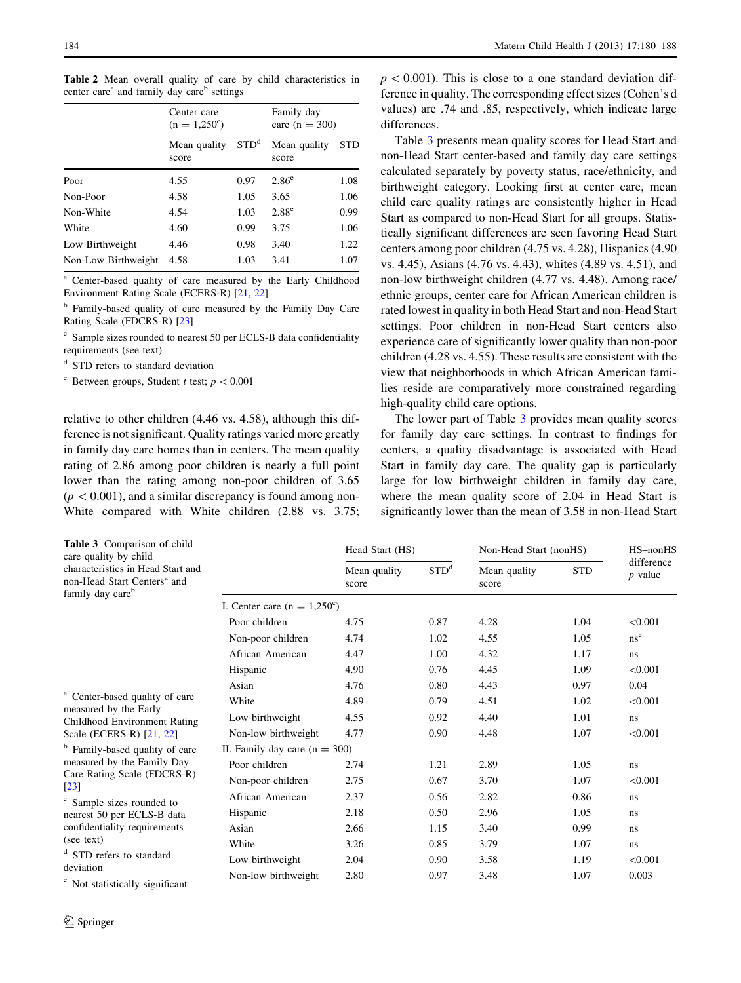|                     | Center care<br>$(n = 1,250^{\circ})$ |                  | Family day<br>care $(n = 300)$ |            |  |
|---------------------|--------------------------------------|------------------|--------------------------------|------------|--|
|                     | Mean quality<br>score                | STD <sup>d</sup> | Mean quality<br>score          | <b>STD</b> |  |
| Poor                | 4.55                                 | 0.97             | $2.86^e$                       | 1.08       |  |
| Non-Poor            | 4.58                                 | 1.05             | 3.65                           | 1.06       |  |
| Non-White           | 4.54                                 | 1.03             | 2.88 <sup>e</sup>              | 0.99       |  |
| White               | 4.60                                 | 0.99             | 3.75                           | 1.06       |  |
| Low Birthweight     | 4.46                                 | 0.98             | 3.40                           | 1.22       |  |
| Non-Low Birthweight | 4.58                                 | 1.03             | 3.41                           | 1.07       |  |

<span id="page-4-0"></span>Table 2 Mean overall quality of care by child characteristics in center care<sup>a</sup> and family day care<sup>b</sup> settings

<sup>a</sup> Center-based quality of care measured by the Early Childhood Environment Rating Scale (ECERS-R) [\[21,](#page-7-0) [22\]](#page-7-0)

<sup>b</sup> Family-based quality of care measured by the Family Day Care Rating Scale (FDCRS-R) [\[23\]](#page-7-0)

<sup>c</sup> Sample sizes rounded to nearest 50 per ECLS-B data confidentiality requirements (see text)

<sup>d</sup> STD refers to standard deviation

 $e^e$  Between groups, Student t test;  $p < 0.001$ 

relative to other children (4.46 vs. 4.58), although this difference is not significant. Quality ratings varied more greatly in family day care homes than in centers. The mean quality rating of 2.86 among poor children is nearly a full point lower than the rating among non-poor children of 3.65  $(p<0.001)$ , and a similar discrepancy is found among non-White compared with White children (2.88 vs. 3.75;  $p<0.001$ ). This is close to a one standard deviation difference in quality. The corresponding effect sizes (Cohen's d values) are .74 and .85, respectively, which indicate large differences.

Table 3 presents mean quality scores for Head Start and non-Head Start center-based and family day care settings calculated separately by poverty status, race/ethnicity, and birthweight category. Looking first at center care, mean child care quality ratings are consistently higher in Head Start as compared to non-Head Start for all groups. Statistically significant differences are seen favoring Head Start centers among poor children (4.75 vs. 4.28), Hispanics (4.90 vs. 4.45), Asians (4.76 vs. 4.43), whites (4.89 vs. 4.51), and non-low birthweight children (4.77 vs. 4.48). Among race/ ethnic groups, center care for African American children is rated lowest in quality in both Head Start and non-Head Start settings. Poor children in non-Head Start centers also experience care of significantly lower quality than non-poor children (4.28 vs. 4.55). These results are consistent with the view that neighborhoods in which African American families reside are comparatively more constrained regarding high-quality child care options.

The lower part of Table 3 provides mean quality scores for family day care settings. In contrast to findings for centers, a quality disadvantage is associated with Head Start in family day care. The quality gap is particularly large for low birthweight children in family day care, where the mean quality score of 2.04 in Head Start is significantly lower than the mean of 3.58 in non-Head Start

| <b>Table 3</b> Comparison of child<br>care quality by child                                                                                                                                                                                                                             |                                        | Head Start (HS)       |                  | Non-Head Start (nonHS) |            | $HS$ -non $HS$          |  |
|-----------------------------------------------------------------------------------------------------------------------------------------------------------------------------------------------------------------------------------------------------------------------------------------|----------------------------------------|-----------------------|------------------|------------------------|------------|-------------------------|--|
| characteristics in Head Start and<br>non-Head Start Centers <sup>a</sup> and<br>family day care <sup>b</sup>                                                                                                                                                                            |                                        | Mean quality<br>score | STD <sup>d</sup> | Mean quality<br>score  | <b>STD</b> | difference<br>$p$ value |  |
|                                                                                                                                                                                                                                                                                         | I. Center care ( $n = 1,250^{\circ}$ ) |                       |                  |                        |            |                         |  |
|                                                                                                                                                                                                                                                                                         | Poor children                          | 4.75                  | 0.87             | 4.28                   | 1.04       | < 0.001                 |  |
|                                                                                                                                                                                                                                                                                         | Non-poor children                      | 4.74                  | 1.02             | 4.55                   | 1.05       | ns <sup>e</sup>         |  |
|                                                                                                                                                                                                                                                                                         | African American                       | 4.47                  | 1.00             | 4.32                   | 1.17       | ns                      |  |
|                                                                                                                                                                                                                                                                                         | Hispanic                               | 4.90                  | 0.76             | 4.45                   | 1.09       | < 0.001                 |  |
|                                                                                                                                                                                                                                                                                         | Asian                                  | 4.76                  | 0.80             | 4.43                   | 0.97       | 0.04                    |  |
| <sup>a</sup> Center-based quality of care<br>measured by the Early<br>Childhood Environment Rating<br>Scale (ECERS-R) [21, 22]                                                                                                                                                          | White                                  | 4.89                  | 0.79             | 4.51                   | 1.02       | < 0.001                 |  |
|                                                                                                                                                                                                                                                                                         | Low birthweight                        | 4.55                  | 0.92             | 4.40                   | 1.01       | ns                      |  |
|                                                                                                                                                                                                                                                                                         | Non-low birthweight                    | 4.77                  | 0.90             | 4.48                   | 1.07       | < 0.001                 |  |
| <sup>b</sup> Family-based quality of care<br>measured by the Family Day<br>Care Rating Scale (FDCRS-R)<br>$\lceil 23 \rceil$<br><sup>c</sup> Sample sizes rounded to<br>nearest 50 per ECLS-B data<br>confidentiality requirements<br>(see text)<br><sup>d</sup> STD refers to standard | II. Family day care $(n = 300)$        |                       |                  |                        |            |                         |  |
|                                                                                                                                                                                                                                                                                         | Poor children                          | 2.74                  | 1.21             | 2.89                   | 1.05       | ns                      |  |
|                                                                                                                                                                                                                                                                                         | Non-poor children                      | 2.75                  | 0.67             | 3.70                   | 1.07       | < 0.001                 |  |
|                                                                                                                                                                                                                                                                                         | African American                       | 2.37                  | 0.56             | 2.82                   | 0.86       | ns                      |  |
|                                                                                                                                                                                                                                                                                         | Hispanic                               | 2.18                  | 0.50             | 2.96                   | 1.05       | ns                      |  |
|                                                                                                                                                                                                                                                                                         | Asian                                  | 2.66                  | 1.15             | 3.40                   | 0.99       | ns                      |  |
|                                                                                                                                                                                                                                                                                         | White                                  | 3.26                  | 0.85             | 3.79                   | 1.07       | ns                      |  |
|                                                                                                                                                                                                                                                                                         | Low birthweight                        | 2.04                  | 0.90             | 3.58                   | 1.19       | < 0.001                 |  |
| deviation<br><sup>e</sup> Not statistically significant                                                                                                                                                                                                                                 | Non-low birthweight                    | 2.80                  | 0.97             | 3.48                   | 1.07       | 0.003                   |  |
|                                                                                                                                                                                                                                                                                         |                                        |                       |                  |                        |            |                         |  |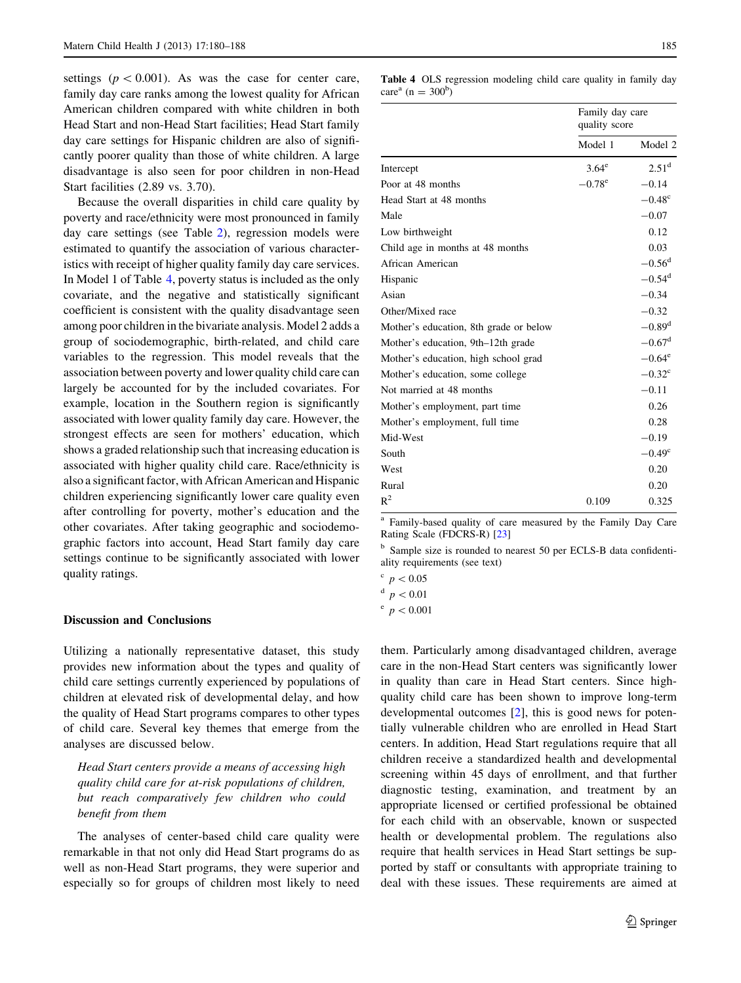settings ( $p \lt 0.001$ ). As was the case for center care, family day care ranks among the lowest quality for African American children compared with white children in both Head Start and non-Head Start facilities; Head Start family day care settings for Hispanic children are also of significantly poorer quality than those of white children. A large disadvantage is also seen for poor children in non-Head Start facilities (2.89 vs. 3.70).

Because the overall disparities in child care quality by poverty and race/ethnicity were most pronounced in family day care settings (see Table [2](#page-4-0)), regression models were estimated to quantify the association of various characteristics with receipt of higher quality family day care services. In Model 1 of Table 4, poverty status is included as the only covariate, and the negative and statistically significant coefficient is consistent with the quality disadvantage seen among poor children in the bivariate analysis. Model 2 adds a group of sociodemographic, birth-related, and child care variables to the regression. This model reveals that the association between poverty and lower quality child care can largely be accounted for by the included covariates. For example, location in the Southern region is significantly associated with lower quality family day care. However, the strongest effects are seen for mothers' education, which shows a graded relationship such that increasing education is associated with higher quality child care. Race/ethnicity is also a significant factor, with African American and Hispanic children experiencing significantly lower care quality even after controlling for poverty, mother's education and the other covariates. After taking geographic and sociodemographic factors into account, Head Start family day care settings continue to be significantly associated with lower quality ratings.

## Discussion and Conclusions

Utilizing a nationally representative dataset, this study provides new information about the types and quality of child care settings currently experienced by populations of children at elevated risk of developmental delay, and how the quality of Head Start programs compares to other types of child care. Several key themes that emerge from the analyses are discussed below.

Head Start centers provide a means of accessing high quality child care for at-risk populations of children, but reach comparatively few children who could benefit from them

The analyses of center-based child care quality were remarkable in that not only did Head Start programs do as well as non-Head Start programs, they were superior and especially so for groups of children most likely to need

Table 4 OLS regression modeling child care quality in family day care<sup>a</sup> (n =  $300<sup>b</sup>$ )

|                                        | Family day care<br>quality score |                      |  |
|----------------------------------------|----------------------------------|----------------------|--|
|                                        | Model 1                          | Model 2              |  |
| Intercept                              | $3.64^e$                         | 2.51 <sup>d</sup>    |  |
| Poor at 48 months                      | $-0.78^{\rm e}$                  | $-0.14$              |  |
| Head Start at 48 months                |                                  | $-0.48^{\circ}$      |  |
| Male                                   |                                  | $-0.07$              |  |
| Low birthweight                        |                                  | 0.12                 |  |
| Child age in months at 48 months       |                                  | 0.03                 |  |
| African American                       |                                  | $-0.56^{\rm d}$      |  |
| Hispanic                               |                                  | $-0.54$ <sup>d</sup> |  |
| Asian                                  |                                  | $-0.34$              |  |
| Other/Mixed race                       |                                  | $-0.32$              |  |
| Mother's education, 8th grade or below |                                  | $-0.89^{\rm d}$      |  |
| Mother's education, 9th–12th grade     |                                  | $-0.67^{\rm d}$      |  |
| Mother's education, high school grad   |                                  | $-0.64^e$            |  |
| Mother's education, some college       |                                  | $-0.32^{\circ}$      |  |
| Not married at 48 months               |                                  | $-0.11$              |  |
| Mother's employment, part time         |                                  | 0.26                 |  |
| Mother's employment, full time         |                                  | 0.28                 |  |
| Mid-West                               |                                  | $-0.19$              |  |
| South                                  |                                  | $-0.49^{\circ}$      |  |
| West                                   |                                  | 0.20                 |  |
| Rural                                  |                                  | 0.20                 |  |
| $R^2$                                  | 0.109                            | 0.325                |  |

<sup>a</sup> Family-based quality of care measured by the Family Day Care Rating Scale (FDCRS-R) [\[23\]](#page-7-0)

<sup>b</sup> Sample size is rounded to nearest 50 per ECLS-B data confidentiality requirements (see text)

them. Particularly among disadvantaged children, average care in the non-Head Start centers was significantly lower in quality than care in Head Start centers. Since highquality child care has been shown to improve long-term developmental outcomes [[2\]](#page-7-0), this is good news for potentially vulnerable children who are enrolled in Head Start centers. In addition, Head Start regulations require that all children receive a standardized health and developmental screening within 45 days of enrollment, and that further diagnostic testing, examination, and treatment by an appropriate licensed or certified professional be obtained for each child with an observable, known or suspected health or developmental problem. The regulations also require that health services in Head Start settings be supported by staff or consultants with appropriate training to deal with these issues. These requirements are aimed at

 $p < 0.05$ 

 $p < 0.01$ 

 $p < 0.001$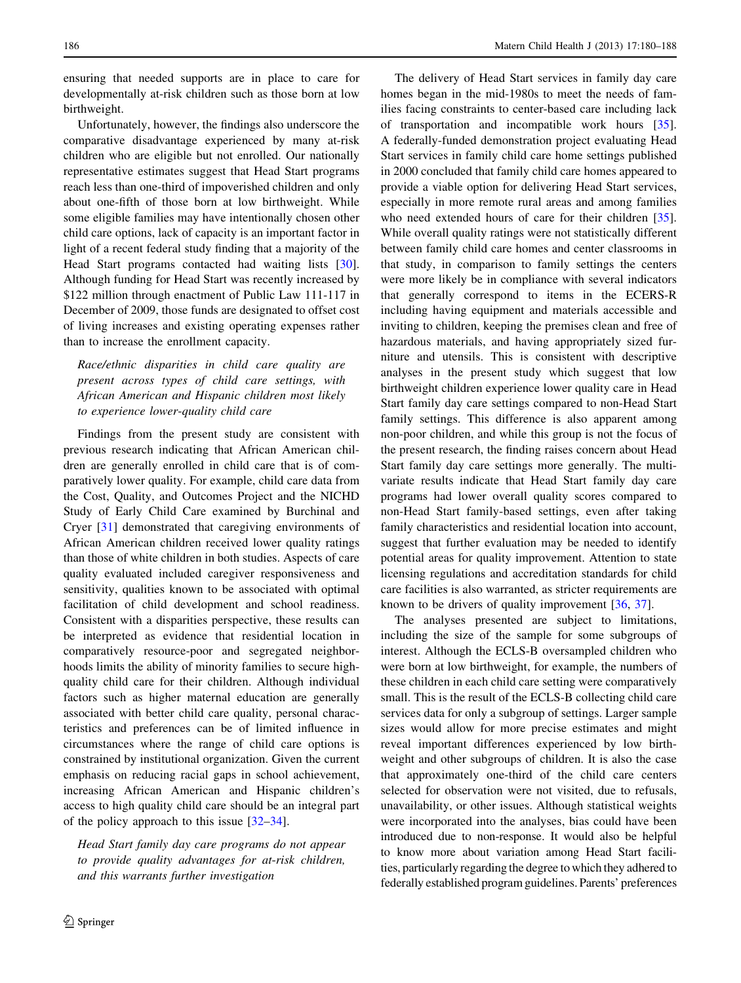ensuring that needed supports are in place to care for developmentally at-risk children such as those born at low birthweight.

Unfortunately, however, the findings also underscore the comparative disadvantage experienced by many at-risk children who are eligible but not enrolled. Our nationally representative estimates suggest that Head Start programs reach less than one-third of impoverished children and only about one-fifth of those born at low birthweight. While some eligible families may have intentionally chosen other child care options, lack of capacity is an important factor in light of a recent federal study finding that a majority of the Head Start programs contacted had waiting lists [\[30](#page-7-0)]. Although funding for Head Start was recently increased by \$122 million through enactment of Public Law 111-117 in December of 2009, those funds are designated to offset cost of living increases and existing operating expenses rather than to increase the enrollment capacity.

## Race/ethnic disparities in child care quality are present across types of child care settings, with African American and Hispanic children most likely to experience lower-quality child care

Findings from the present study are consistent with previous research indicating that African American children are generally enrolled in child care that is of comparatively lower quality. For example, child care data from the Cost, Quality, and Outcomes Project and the NICHD Study of Early Child Care examined by Burchinal and Cryer [\[31](#page-8-0)] demonstrated that caregiving environments of African American children received lower quality ratings than those of white children in both studies. Aspects of care quality evaluated included caregiver responsiveness and sensitivity, qualities known to be associated with optimal facilitation of child development and school readiness. Consistent with a disparities perspective, these results can be interpreted as evidence that residential location in comparatively resource-poor and segregated neighborhoods limits the ability of minority families to secure highquality child care for their children. Although individual factors such as higher maternal education are generally associated with better child care quality, personal characteristics and preferences can be of limited influence in circumstances where the range of child care options is constrained by institutional organization. Given the current emphasis on reducing racial gaps in school achievement, increasing African American and Hispanic children's access to high quality child care should be an integral part of the policy approach to this issue  $[32-34]$ .

Head Start family day care programs do not appear to provide quality advantages for at-risk children, and this warrants further investigation

The delivery of Head Start services in family day care homes began in the mid-1980s to meet the needs of families facing constraints to center-based care including lack of transportation and incompatible work hours [\[35](#page-8-0)]. A federally-funded demonstration project evaluating Head Start services in family child care home settings published in 2000 concluded that family child care homes appeared to provide a viable option for delivering Head Start services, especially in more remote rural areas and among families who need extended hours of care for their children [\[35](#page-8-0)]. While overall quality ratings were not statistically different between family child care homes and center classrooms in that study, in comparison to family settings the centers were more likely be in compliance with several indicators that generally correspond to items in the ECERS-R including having equipment and materials accessible and inviting to children, keeping the premises clean and free of hazardous materials, and having appropriately sized furniture and utensils. This is consistent with descriptive analyses in the present study which suggest that low birthweight children experience lower quality care in Head Start family day care settings compared to non-Head Start family settings. This difference is also apparent among non-poor children, and while this group is not the focus of the present research, the finding raises concern about Head Start family day care settings more generally. The multivariate results indicate that Head Start family day care programs had lower overall quality scores compared to non-Head Start family-based settings, even after taking family characteristics and residential location into account, suggest that further evaluation may be needed to identify potential areas for quality improvement. Attention to state licensing regulations and accreditation standards for child care facilities is also warranted, as stricter requirements are known to be drivers of quality improvement [\[36,](#page-8-0) [37](#page-8-0)].

The analyses presented are subject to limitations, including the size of the sample for some subgroups of interest. Although the ECLS-B oversampled children who were born at low birthweight, for example, the numbers of these children in each child care setting were comparatively small. This is the result of the ECLS-B collecting child care services data for only a subgroup of settings. Larger sample sizes would allow for more precise estimates and might reveal important differences experienced by low birthweight and other subgroups of children. It is also the case that approximately one-third of the child care centers selected for observation were not visited, due to refusals, unavailability, or other issues. Although statistical weights were incorporated into the analyses, bias could have been introduced due to non-response. It would also be helpful to know more about variation among Head Start facilities, particularly regarding the degree to which they adhered to federally established program guidelines. Parents' preferences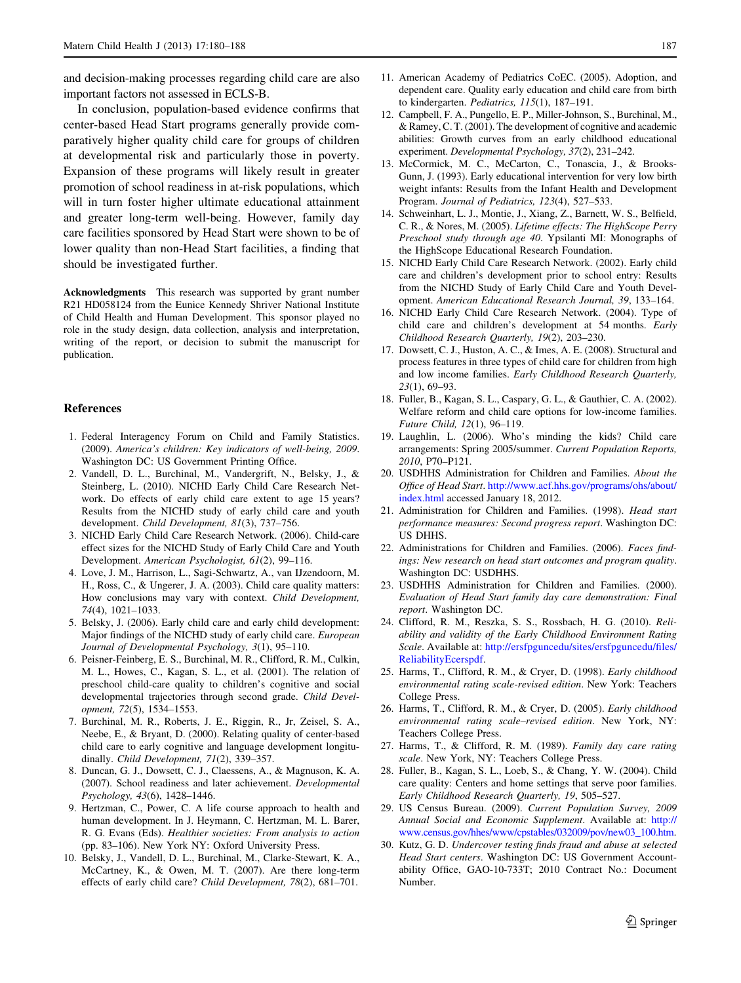<span id="page-7-0"></span>and decision-making processes regarding child care are also important factors not assessed in ECLS-B.

In conclusion, population-based evidence confirms that center-based Head Start programs generally provide comparatively higher quality child care for groups of children at developmental risk and particularly those in poverty. Expansion of these programs will likely result in greater promotion of school readiness in at-risk populations, which will in turn foster higher ultimate educational attainment and greater long-term well-being. However, family day care facilities sponsored by Head Start were shown to be of lower quality than non-Head Start facilities, a finding that should be investigated further.

Acknowledgments This research was supported by grant number R21 HD058124 from the Eunice Kennedy Shriver National Institute of Child Health and Human Development. This sponsor played no role in the study design, data collection, analysis and interpretation, writing of the report, or decision to submit the manuscript for publication.

### References

- 1. Federal Interagency Forum on Child and Family Statistics. (2009). America's children: Key indicators of well-being, 2009. Washington DC: US Government Printing Office.
- 2. Vandell, D. L., Burchinal, M., Vandergrift, N., Belsky, J., & Steinberg, L. (2010). NICHD Early Child Care Research Network. Do effects of early child care extent to age 15 years? Results from the NICHD study of early child care and youth development. Child Development, 81(3), 737–756.
- 3. NICHD Early Child Care Research Network. (2006). Child-care effect sizes for the NICHD Study of Early Child Care and Youth Development. American Psychologist, 61(2), 99–116.
- 4. Love, J. M., Harrison, L., Sagi-Schwartz, A., van IJzendoorn, M. H., Ross, C., & Ungerer, J. A. (2003). Child care quality matters: How conclusions may vary with context. Child Development, 74(4), 1021–1033.
- 5. Belsky, J. (2006). Early child care and early child development: Major findings of the NICHD study of early child care. European Journal of Developmental Psychology, 3(1), 95–110.
- 6. Peisner-Feinberg, E. S., Burchinal, M. R., Clifford, R. M., Culkin, M. L., Howes, C., Kagan, S. L., et al. (2001). The relation of preschool child-care quality to children's cognitive and social developmental trajectories through second grade. Child Development, 72(5), 1534–1553.
- 7. Burchinal, M. R., Roberts, J. E., Riggin, R., Jr, Zeisel, S. A., Neebe, E., & Bryant, D. (2000). Relating quality of center-based child care to early cognitive and language development longitudinally. Child Development, 71(2), 339–357.
- 8. Duncan, G. J., Dowsett, C. J., Claessens, A., & Magnuson, K. A. (2007). School readiness and later achievement. Developmental Psychology, 43(6), 1428–1446.
- 9. Hertzman, C., Power, C. A life course approach to health and human development. In J. Heymann, C. Hertzman, M. L. Barer, R. G. Evans (Eds). Healthier societies: From analysis to action (pp. 83–106). New York NY: Oxford University Press.
- 10. Belsky, J., Vandell, D. L., Burchinal, M., Clarke-Stewart, K. A., McCartney, K., & Owen, M. T. (2007). Are there long-term effects of early child care? Child Development, 78(2), 681–701.
- 11. American Academy of Pediatrics CoEC. (2005). Adoption, and dependent care. Quality early education and child care from birth to kindergarten. Pediatrics, 115(1), 187–191.
- 12. Campbell, F. A., Pungello, E. P., Miller-Johnson, S., Burchinal, M., & Ramey, C. T. (2001). The development of cognitive and academic abilities: Growth curves from an early childhood educational experiment. Developmental Psychology, 37(2), 231–242.
- 13. McCormick, M. C., McCarton, C., Tonascia, J., & Brooks-Gunn, J. (1993). Early educational intervention for very low birth weight infants: Results from the Infant Health and Development Program. Journal of Pediatrics, 123(4), 527–533.
- 14. Schweinhart, L. J., Montie, J., Xiang, Z., Barnett, W. S., Belfield, C. R., & Nores, M. (2005). Lifetime effects: The HighScope Perry Preschool study through age 40. Ypsilanti MI: Monographs of the HighScope Educational Research Foundation.
- 15. NICHD Early Child Care Research Network. (2002). Early child care and children's development prior to school entry: Results from the NICHD Study of Early Child Care and Youth Development. American Educational Research Journal, 39, 133–164.
- 16. NICHD Early Child Care Research Network. (2004). Type of child care and children's development at 54 months. Early Childhood Research Quarterly, 19(2), 203–230.
- 17. Dowsett, C. J., Huston, A. C., & Imes, A. E. (2008). Structural and process features in three types of child care for children from high and low income families. Early Childhood Research Quarterly, 23(1), 69–93.
- 18. Fuller, B., Kagan, S. L., Caspary, G. L., & Gauthier, C. A. (2002). Welfare reform and child care options for low-income families. Future Child, 12(1), 96–119.
- 19. Laughlin, L. (2006). Who's minding the kids? Child care arrangements: Spring 2005/summer. Current Population Reports, 2010, P70–P121.
- 20. USDHHS Administration for Children and Families. About the Office of Head Start. [http://www.acf.hhs.gov/programs/ohs/about/](http://www.acf.hhs.gov/programs/ohs/about/index.html) [index.html](http://www.acf.hhs.gov/programs/ohs/about/index.html) accessed January 18, 2012.
- 21. Administration for Children and Families. (1998). Head start performance measures: Second progress report. Washington DC: US DHHS.
- 22. Administrations for Children and Families. (2006). Faces findings: New research on head start outcomes and program quality. Washington DC: USDHHS.
- 23. USDHHS Administration for Children and Families. (2000). Evaluation of Head Start family day care demonstration: Final report. Washington DC.
- 24. Clifford, R. M., Reszka, S. S., Rossbach, H. G. (2010). Reliability and validity of the Early Childhood Environment Rating Scale. Available at: [http://ersfpguncedu/sites/ersfpguncedu/files/](http://ersfpguncedu/sites/ersfpguncedu/files/ReliabilityEcerspdf) [ReliabilityEcerspdf](http://ersfpguncedu/sites/ersfpguncedu/files/ReliabilityEcerspdf).
- 25. Harms, T., Clifford, R. M., & Cryer, D. (1998). Early childhood environmental rating scale-revised edition. New York: Teachers College Press.
- 26. Harms, T., Clifford, R. M., & Cryer, D. (2005). Early childhood environmental rating scale–revised edition. New York, NY: Teachers College Press.
- 27. Harms, T., & Clifford, R. M. (1989). Family day care rating scale. New York, NY: Teachers College Press.
- 28. Fuller, B., Kagan, S. L., Loeb, S., & Chang, Y. W. (2004). Child care quality: Centers and home settings that serve poor families. Early Childhood Research Quarterly, 19, 505–527.
- 29. US Census Bureau. (2009). Current Population Survey, 2009 Annual Social and Economic Supplement. Available at: [http://](http://www.census.gov/hhes/www/cpstables/032009/pov/new03_100.htm) [www.census.gov/hhes/www/cpstables/032009/pov/new03\\_100.htm.](http://www.census.gov/hhes/www/cpstables/032009/pov/new03_100.htm)
- 30. Kutz, G. D. Undercover testing finds fraud and abuse at selected Head Start centers. Washington DC: US Government Accountability Office, GAO-10-733T; 2010 Contract No.: Document Number.